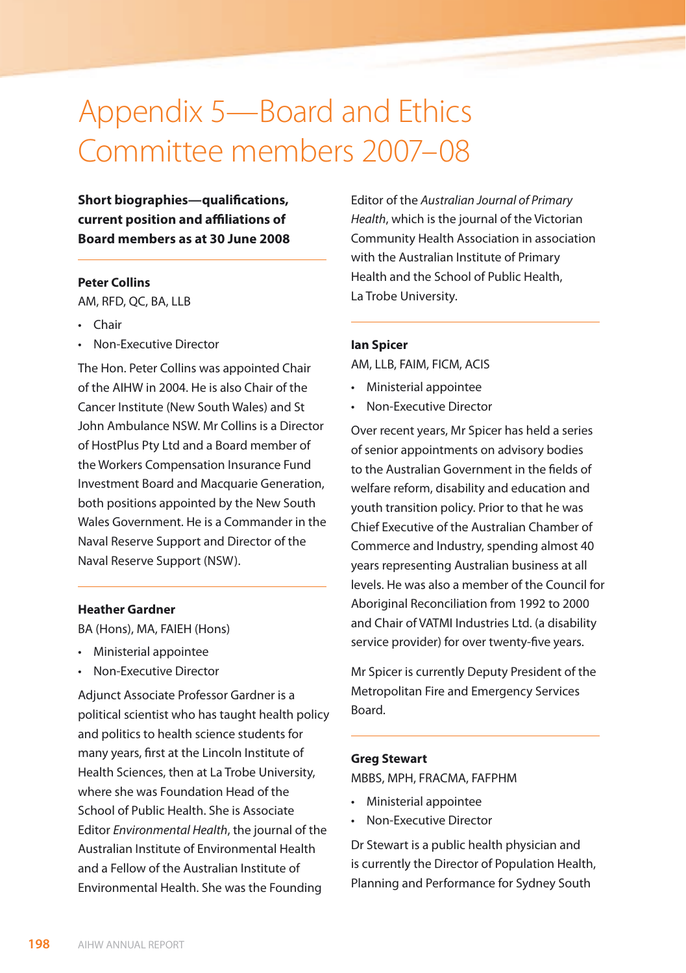# Appendix 5—Board and Ethics Committee members 2007–08

**Short biographies—qualifications, current position and affiliations of Board members as at 30 June 2008**

## **Peter Collins**

AM, RFD, QC, BA, LLB

- • Chair
- • Non-Executive Director

The Hon. Peter Collins was appointed Chair of the AIHW in 2004. He is also Chair of the Cancer Institute (New South Wales) and St John Ambulance NSW. Mr Collins is a Director of HostPlus Pty Ltd and a Board member of the Workers Compensation Insurance Fund Investment Board and Macquarie Generation, both positions appointed by the New South Wales Government. He is a Commander in the Naval Reserve Support and Director of the Naval Reserve Support (NSW).

# **Heather Gardner**

BA (Hons), MA, FAIEH (Hons)

- • Ministerial appointee
- • Non-Executive Director

Adjunct Associate Professor Gardner is a political scientist who has taught health policy and politics to health science students for many years, first at the Lincoln Institute of Health Sciences, then at La Trobe University, where she was Foundation Head of the School of Public Health. She is Associate Editor *Environmental Health*, the journal of the Australian Institute of Environmental Health and a Fellow of the Australian Institute of Environmental Health. She was the Founding

Editor of the *Australian Journal of Primary Health*, which is the journal of the Victorian Community Health Association in association with the Australian Institute of Primary Health and the School of Public Health, La Trobe University.

# **Ian Spicer**

AM, LLB, FAIM, FICM, ACIS

- • Ministerial appointee
- • Non-Executive Director

Over recent years, Mr Spicer has held a series of senior appointments on advisory bodies to the Australian Government in the fields of welfare reform, disability and education and youth transition policy. Prior to that he was Chief Executive of the Australian Chamber of Commerce and Industry, spending almost 40 years representing Australian business at all levels. He was also a member of the Council for Aboriginal Reconciliation from 1992 to 2000 and Chair of VATMI Industries Ltd. (a disability service provider) for over twenty-five years.

Mr Spicer is currently Deputy President of the Metropolitan Fire and Emergency Services Board.

## **Greg Stewart**

MBBS, MPH, FRACMA, FAFPHM

- • Ministerial appointee
- Non-Executive Director

Dr Stewart is a public health physician and is currently the Director of Population Health, Planning and Performance for Sydney South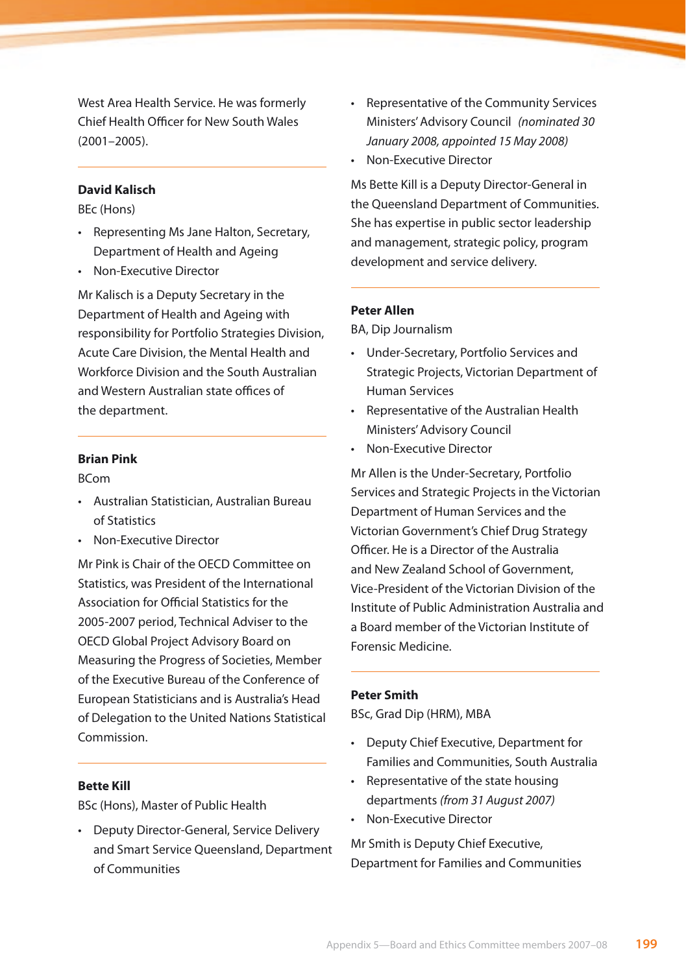West Area Health Service. He was formerly Chief Health Officer for New South Wales  $(2001 - 2005)$ 

# **David Kalisch**

BEc (Hons)

- • Representing Ms Jane Halton, Secretary, Department of Health and Ageing
- • Non-Executive Director

Mr Kalisch is a Deputy Secretary in the Department of Health and Ageing with responsibility for Portfolio Strategies Division, Acute Care Division, the Mental Health and Workforce Division and the South Australian and Western Australian state offices of the department.

## **Brian Pink**

BCom

- • Australian Statistician, Australian Bureau of Statistics
- • Non-Executive Director

Mr Pink is Chair of the OECD Committee on Statistics, was President of the International Association for Official Statistics for the 2005-2007 period, Technical Adviser to the OECD Global Project Advisory Board on Measuring the Progress of Societies, Member of the Executive Bureau of the Conference of European Statisticians and is Australia's Head of Delegation to the United Nations Statistical Commission.

# **Bette Kill**

BSc (Hons), Master of Public Health

• Deputy Director-General, Service Delivery and Smart Service Queensland, Department of Communities

- • Representative of the Community Services Ministers' Advisory Council *(nominated 30 January 2008, appointed 15 May 2008)*
- • Non-Executive Director

Ms Bette Kill is a Deputy Director-General in the Queensland Department of Communities. She has expertise in public sector leadership and management, strategic policy, program development and service delivery.

# **Peter Allen**

BA, Dip Journalism

- • Under-Secretary, Portfolio Services and Strategic Projects, Victorian Department of Human Services
- • Representative of the Australian Health Ministers' Advisory Council
- Non-Executive Director

Mr Allen is the Under-Secretary, Portfolio Services and Strategic Projects in the Victorian Department of Human Services and the Victorian Government's Chief Drug Strategy Officer. He is a Director of the Australia and New Zealand School of Government, Vice-President of the Victorian Division of the Institute of Public Administration Australia and a Board member of the Victorian Institute of Forensic Medicine.

### **Peter Smith**

BSc, Grad Dip (HRM), MBA

- • Deputy Chief Executive, Department for Families and Communities, South Australia
- • Representative of the state housing departments *(from 31 August 2007)*
- • Non-Executive Director

Mr Smith is Deputy Chief Executive, Department for Families and Communities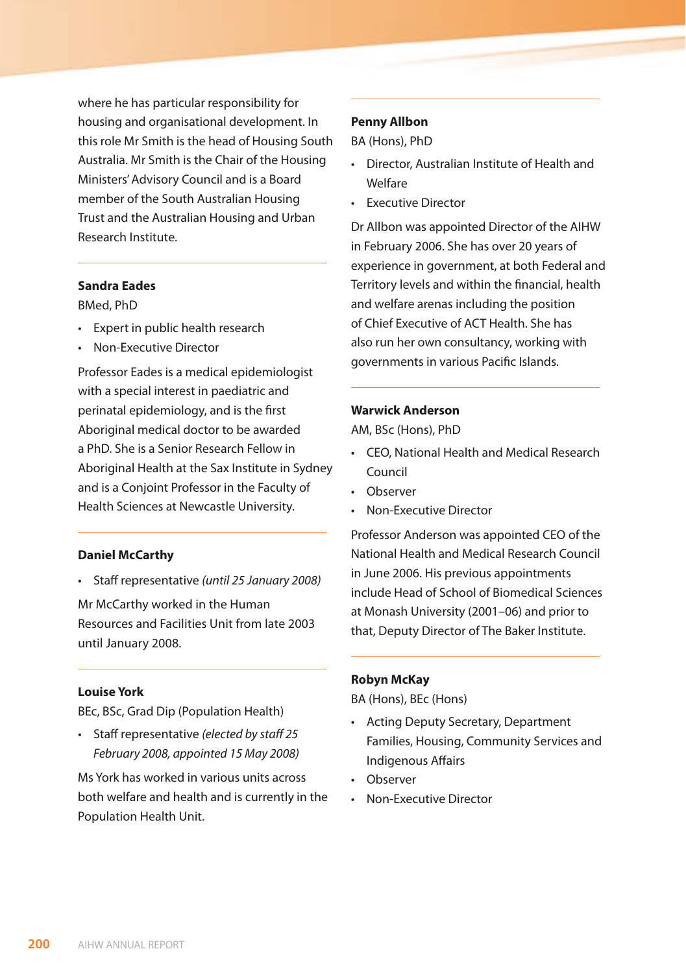where he has particular responsibility for housing and organisational development. In this role Mr Smith is the head of Housing South Australia. Mr Smith is the Chair of the Housing Ministers' Advisory Council and is a Board member of the South Australian Housing Trust and the Australian Housing and Urban Research Institute.

#### **Sandra Eades**

BMed, PhD

- • Expert in public health research
- Non-Executive Director

Professor Eades is a medical epidemiologist with a special interest in paediatric and perinatal epidemiology, and is the first Aboriginal medical doctor to be awarded a PhD. She is a Senior Research Fellow in Aboriginal Health at the Sax Institute in Sydney and is a Conjoint Professor in the Faculty of Health Sciences at Newcastle University.

# **Daniel McCarthy**

• Staff representative *(until 25 January 2008)*

Mr McCarthy worked in the Human Resources and Facilities Unit from late 2003 until January 2008.

## **Louise York**

BEc, BSc, Grad Dip (Population Health)

• Staff representative *(elected by staff 25 February 2008, appointed 15 May 2008)*

Ms York has worked in various units across both welfare and health and is currently in the Population Health Unit.

# **Penny Allbon**

BA (Hons), PhD

- • Director, Australian Institute of Health and Welfare
- • Executive Director

Dr Allbon was appointed Director of the AIHW in February 2006. She has over 20 years of experience in government, at both Federal and Territory levels and within the financial, health and welfare arenas including the position of Chief Executive of ACT Health. She has also run her own consultancy, working with governments in various Pacific Islands.

## **Warwick Anderson**

AM, BSc (Hons), PhD

- • CEO, National Health and Medical Research Council
- • Observer
- • Non-Executive Director

Professor Anderson was appointed CEO of the National Health and Medical Research Council in June 2006. His previous appointments include Head of School of Biomedical Sciences at Monash University (2001–06) and prior to that, Deputy Director of The Baker Institute.

#### **Robyn McKay**

BA (Hons), BEc (Hons)

- • Acting Deputy Secretary, Department Families, Housing, Community Services and Indigenous Affairs
- • Observer
- **Non-Executive Director**